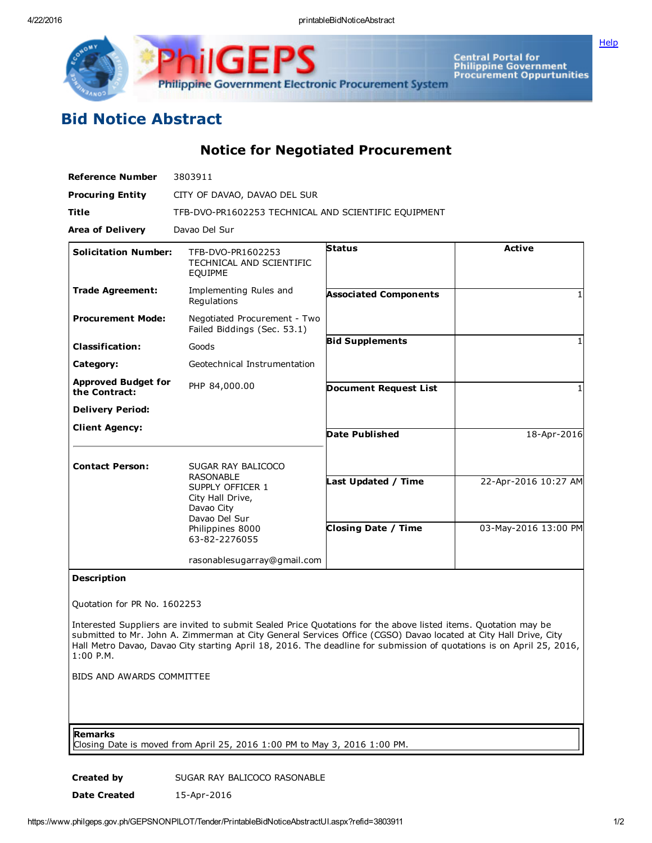4/22/2016 printableBidNoticeAbstract

**[Help](javascript:void(window.open()** 



Central Portal for<br>Philippine Government<br>Procurement Oppurtunities

## Bid Notice Abstract

Notice for Negotiated Procurement

| <b>Reference Number</b>                     | 3803911                                                                                                                                            |                              |                      |
|---------------------------------------------|----------------------------------------------------------------------------------------------------------------------------------------------------|------------------------------|----------------------|
| <b>Procuring Entity</b>                     | CITY OF DAVAO, DAVAO DEL SUR                                                                                                                       |                              |                      |
| <b>Title</b>                                | TFB-DVO-PR1602253 TECHNICAL AND SCIENTIFIC EQUIPMENT                                                                                               |                              |                      |
| <b>Area of Delivery</b>                     | Davao Del Sur                                                                                                                                      |                              |                      |
| <b>Solicitation Number:</b>                 | TFB-DVO-PR1602253<br>TECHNICAL AND SCIENTIFIC<br><b>EQUIPME</b>                                                                                    | <b>Status</b>                | <b>Active</b>        |
| <b>Trade Agreement:</b>                     | Implementing Rules and<br>Regulations                                                                                                              | <b>Associated Components</b> |                      |
| <b>Procurement Mode:</b>                    | Negotiated Procurement - Two<br>Failed Biddings (Sec. 53.1)                                                                                        |                              |                      |
| <b>Classification:</b>                      | Goods                                                                                                                                              | <b>Bid Supplements</b>       |                      |
| Category:                                   | Geotechnical Instrumentation                                                                                                                       |                              |                      |
| <b>Approved Budget for</b><br>the Contract: | PHP 84,000.00                                                                                                                                      | <b>Document Request List</b> |                      |
| <b>Delivery Period:</b>                     |                                                                                                                                                    |                              |                      |
| <b>Client Agency:</b>                       |                                                                                                                                                    | <b>Date Published</b>        | 18-Apr-2016          |
| <b>Contact Person:</b>                      | SUGAR RAY BALICOCO<br><b>RASONABLE</b><br>SUPPLY OFFICER 1<br>City Hall Drive,<br>Davao City<br>Davao Del Sur<br>Philippines 8000<br>63-82-2276055 | Last Updated / Time          | 22-Apr-2016 10:27 AM |
|                                             |                                                                                                                                                    | <b>Closing Date / Time</b>   | 03-May-2016 13:00 PM |
|                                             | rasonablesugarray@gmail.com                                                                                                                        |                              |                      |

## Description

Quotation for PR No. 1602253

Interested Suppliers are invited to submit Sealed Price Quotations for the above listed items. Quotation may be submitted to Mr. John A. Zimmerman at City General Services Office (CGSO) Davao located at City Hall Drive, City Hall Metro Davao, Davao City starting April 18, 2016. The deadline for submission of quotations is on April 25, 2016, 1:00 P.M.

BIDS AND AWARDS COMMITTEE

## Remarks

Closing Date is moved from April 25, 2016 1:00 PM to May 3, 2016 1:00 PM.

Created by SUGAR RAY BALICOCO RASONABLE

Date Created 15-Apr-2016